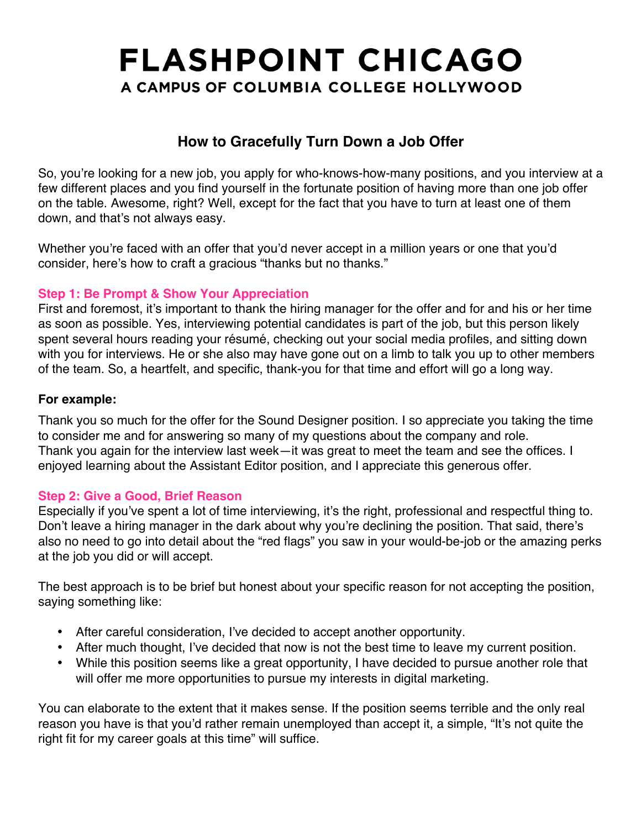# **FLASHPOINT CHICAGO** A CAMPUS OF COLUMBIA COLLEGE HOLLYWOOD

### **How to Gracefully Turn Down a Job Offer**

So, you're looking for a new job, you apply for who-knows-how-many positions, and you interview at a few different places and you find yourself in the fortunate position of having more than one job offer on the table. Awesome, right? Well, except for the fact that you have to turn at least one of them down, and that's not always easy.

Whether you're faced with an offer that you'd never accept in a million years or one that you'd consider, here's how to craft a gracious "thanks but no thanks."

### **Step 1: Be Prompt & Show Your Appreciation**

First and foremost, it's important to thank the hiring manager for the offer and for and his or her time as soon as possible. Yes, interviewing potential candidates is part of the job, but this person likely spent several hours reading your résumé, checking out your social media profiles, and sitting down with you for interviews. He or she also may have gone out on a limb to talk you up to other members of the team. So, a heartfelt, and specific, thank-you for that time and effort will go a long way.

#### **For example:**

Thank you so much for the offer for the Sound Designer position. I so appreciate you taking the time to consider me and for answering so many of my questions about the company and role. Thank you again for the interview last week—it was great to meet the team and see the offices. I enjoyed learning about the Assistant Editor position, and I appreciate this generous offer.

### **Step 2: Give a Good, Brief Reason**

Especially if you've spent a lot of time interviewing, it's the right, professional and respectful thing to. Don't leave a hiring manager in the dark about why you're declining the position. That said, there's also no need to go into detail about the "red flags" you saw in your would-be-job or the amazing perks at the job you did or will accept.

The best approach is to be brief but honest about your specific reason for not accepting the position, saying something like:

- After careful consideration, I've decided to accept another opportunity.
- After much thought, I've decided that now is not the best time to leave my current position.
- While this position seems like a great opportunity, I have decided to pursue another role that will offer me more opportunities to pursue my interests in digital marketing.

You can elaborate to the extent that it makes sense. If the position seems terrible and the only real reason you have is that you'd rather remain unemployed than accept it, a simple, "It's not quite the right fit for my career goals at this time" will suffice.